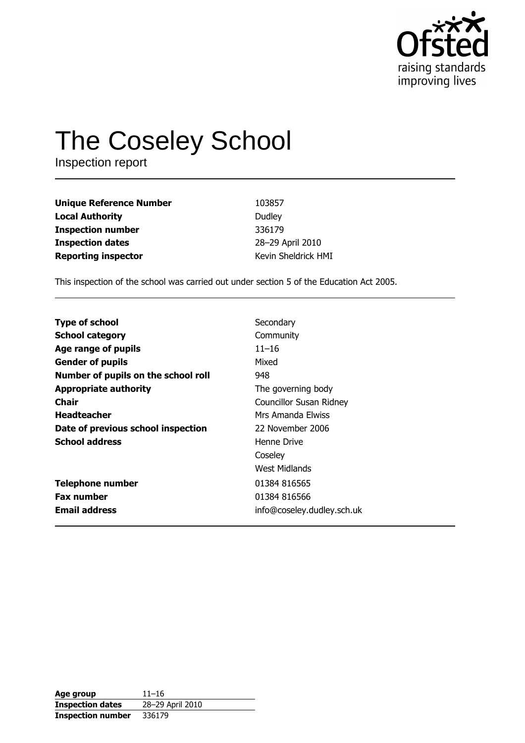

# **The Coseley School**

Inspection report

| <b>Unique Reference Number</b> | 103857              |
|--------------------------------|---------------------|
| <b>Local Authority</b>         | Dudley              |
| <b>Inspection number</b>       | 336179              |
| <b>Inspection dates</b>        | 28-29 April 2010    |
| <b>Reporting inspector</b>     | Kevin Sheldrick HMI |

This inspection of the school was carried out under section 5 of the Education Act 2005.

| <b>Type of school</b>               | Secondary                      |
|-------------------------------------|--------------------------------|
| <b>School category</b>              | Community                      |
| Age range of pupils                 | $11 - 16$                      |
| <b>Gender of pupils</b>             | Mixed                          |
| Number of pupils on the school roll | 948                            |
| <b>Appropriate authority</b>        | The governing body             |
| Chair                               | <b>Councillor Susan Ridney</b> |
| <b>Headteacher</b>                  | Mrs Amanda Elwiss              |
| Date of previous school inspection  | 22 November 2006               |
| <b>School address</b>               | Henne Drive                    |
|                                     | Coseley                        |
|                                     | West Midlands                  |
| <b>Telephone number</b>             | 01384 816565                   |
| <b>Fax number</b>                   | 01384 816566                   |
| <b>Email address</b>                | info@coseley.dudley.sch.uk     |

| Age group                | $11 - 16$        |
|--------------------------|------------------|
| <b>Inspection dates</b>  | 28-29 April 2010 |
| <b>Inspection number</b> | 336179           |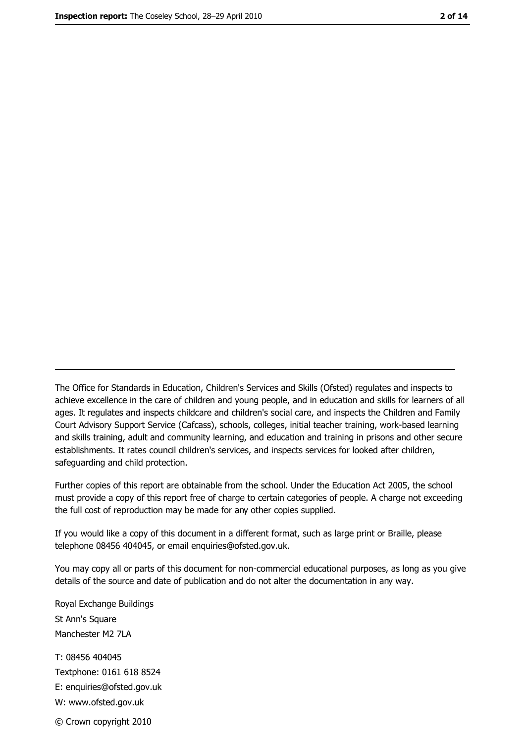The Office for Standards in Education, Children's Services and Skills (Ofsted) regulates and inspects to achieve excellence in the care of children and young people, and in education and skills for learners of all ages. It regulates and inspects childcare and children's social care, and inspects the Children and Family Court Advisory Support Service (Cafcass), schools, colleges, initial teacher training, work-based learning and skills training, adult and community learning, and education and training in prisons and other secure establishments. It rates council children's services, and inspects services for looked after children, safequarding and child protection.

Further copies of this report are obtainable from the school. Under the Education Act 2005, the school must provide a copy of this report free of charge to certain categories of people. A charge not exceeding the full cost of reproduction may be made for any other copies supplied.

If you would like a copy of this document in a different format, such as large print or Braille, please telephone 08456 404045, or email enquiries@ofsted.gov.uk.

You may copy all or parts of this document for non-commercial educational purposes, as long as you give details of the source and date of publication and do not alter the documentation in any way.

Royal Exchange Buildings St Ann's Square Manchester M2 7LA T: 08456 404045 Textphone: 0161 618 8524 E: enquiries@ofsted.gov.uk W: www.ofsted.gov.uk © Crown copyright 2010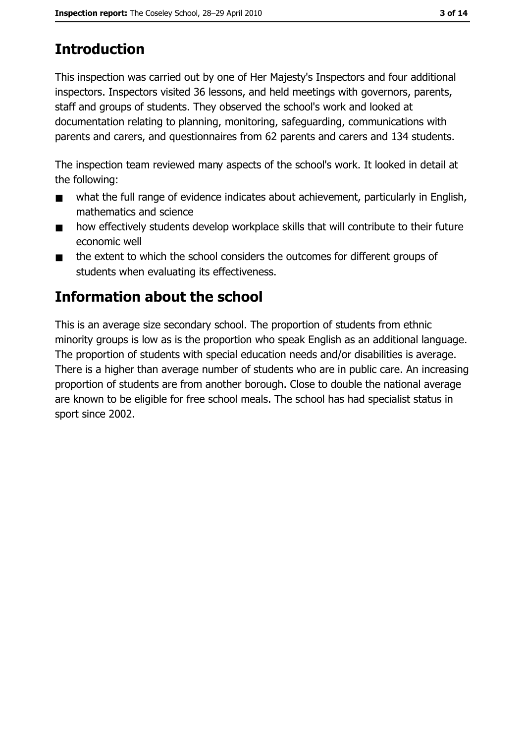# **Introduction**

This inspection was carried out by one of Her Majesty's Inspectors and four additional inspectors. Inspectors visited 36 lessons, and held meetings with governors, parents, staff and groups of students. They observed the school's work and looked at documentation relating to planning, monitoring, safeguarding, communications with parents and carers, and questionnaires from 62 parents and carers and 134 students.

The inspection team reviewed many aspects of the school's work. It looked in detail at the following:

- what the full range of evidence indicates about achievement, particularly in English,  $\blacksquare$ mathematics and science
- how effectively students develop workplace skills that will contribute to their future  $\blacksquare$ economic well
- the extent to which the school considers the outcomes for different groups of  $\blacksquare$ students when evaluating its effectiveness.

## Information about the school

This is an average size secondary school. The proportion of students from ethnic minority groups is low as is the proportion who speak English as an additional language. The proportion of students with special education needs and/or disabilities is average. There is a higher than average number of students who are in public care. An increasing proportion of students are from another borough. Close to double the national average are known to be eligible for free school meals. The school has had specialist status in sport since 2002.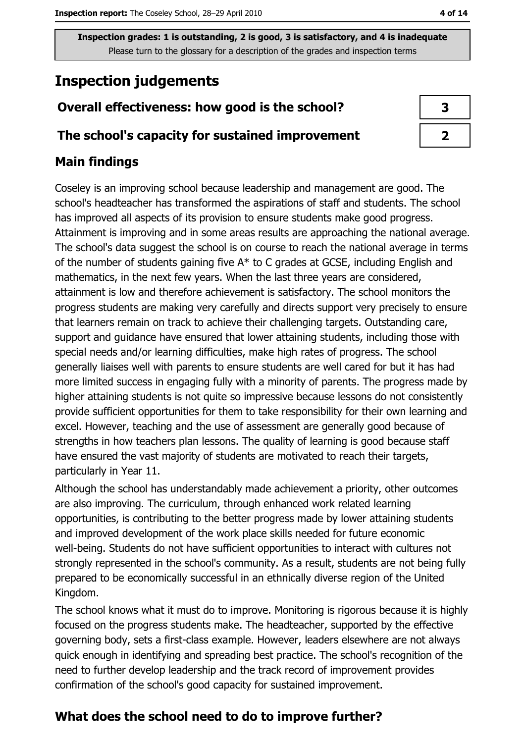# **Inspection judgements**

### Overall effectiveness: how good is the school?

#### The school's capacity for sustained improvement

#### **Main findings**

Coseley is an improving school because leadership and management are good. The school's headteacher has transformed the aspirations of staff and students. The school has improved all aspects of its provision to ensure students make good progress. Attainment is improving and in some areas results are approaching the national average. The school's data suggest the school is on course to reach the national average in terms of the number of students gaining five A\* to C grades at GCSE, including English and mathematics, in the next few years. When the last three years are considered, attainment is low and therefore achievement is satisfactory. The school monitors the progress students are making very carefully and directs support very precisely to ensure that learners remain on track to achieve their challenging targets. Outstanding care, support and guidance have ensured that lower attaining students, including those with special needs and/or learning difficulties, make high rates of progress. The school generally liaises well with parents to ensure students are well cared for but it has had more limited success in engaging fully with a minority of parents. The progress made by higher attaining students is not quite so impressive because lessons do not consistently provide sufficient opportunities for them to take responsibility for their own learning and excel. However, teaching and the use of assessment are generally good because of strengths in how teachers plan lessons. The quality of learning is good because staff have ensured the vast majority of students are motivated to reach their targets, particularly in Year 11.

Although the school has understandably made achievement a priority, other outcomes are also improving. The curriculum, through enhanced work related learning opportunities, is contributing to the better progress made by lower attaining students and improved development of the work place skills needed for future economic well-being. Students do not have sufficient opportunities to interact with cultures not strongly represented in the school's community. As a result, students are not being fully prepared to be economically successful in an ethnically diverse region of the United Kingdom.

The school knows what it must do to improve. Monitoring is rigorous because it is highly focused on the progress students make. The headteacher, supported by the effective governing body, sets a first-class example. However, leaders elsewhere are not always quick enough in identifying and spreading best practice. The school's recognition of the need to further develop leadership and the track record of improvement provides confirmation of the school's good capacity for sustained improvement.

## What does the school need to do to improve further?

4 of 14

| 3 |
|---|
|   |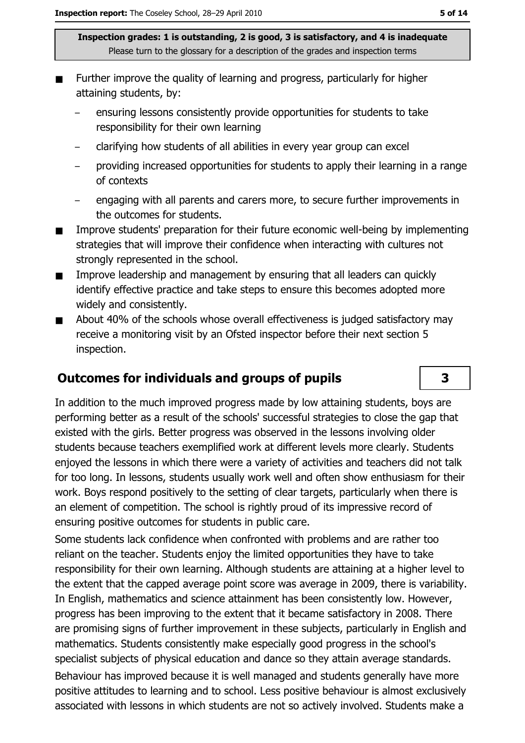- Further improve the quality of learning and progress, particularly for higher attaining students, by:
	- ensuring lessons consistently provide opportunities for students to take responsibility for their own learning
	- clarifying how students of all abilities in every year group can excel
	- providing increased opportunities for students to apply their learning in a range of contexts
	- engaging with all parents and carers more, to secure further improvements in the outcomes for students.
- Improve students' preparation for their future economic well-being by implementing strategies that will improve their confidence when interacting with cultures not strongly represented in the school.
- $\blacksquare$ Improve leadership and management by ensuring that all leaders can quickly identify effective practice and take steps to ensure this becomes adopted more widely and consistently.
- About 40% of the schools whose overall effectiveness is judged satisfactory may  $\blacksquare$ receive a monitoring visit by an Ofsted inspector before their next section 5 inspection.

#### **Outcomes for individuals and groups of pupils**

In addition to the much improved progress made by low attaining students, boys are performing better as a result of the schools' successful strategies to close the gap that existed with the girls. Better progress was observed in the lessons involving older students because teachers exemplified work at different levels more clearly. Students enjoyed the lessons in which there were a variety of activities and teachers did not talk for too long. In lessons, students usually work well and often show enthusiasm for their work. Boys respond positively to the setting of clear targets, particularly when there is an element of competition. The school is rightly proud of its impressive record of ensuring positive outcomes for students in public care.

Some students lack confidence when confronted with problems and are rather too reliant on the teacher. Students enjoy the limited opportunities they have to take responsibility for their own learning. Although students are attaining at a higher level to the extent that the capped average point score was average in 2009, there is variability. In English, mathematics and science attainment has been consistently low. However, progress has been improving to the extent that it became satisfactory in 2008. There are promising signs of further improvement in these subjects, particularly in English and mathematics. Students consistently make especially good progress in the school's specialist subjects of physical education and dance so they attain average standards.

Behaviour has improved because it is well managed and students generally have more positive attitudes to learning and to school. Less positive behaviour is almost exclusively associated with lessons in which students are not so actively involved. Students make a

 $\overline{\mathbf{3}}$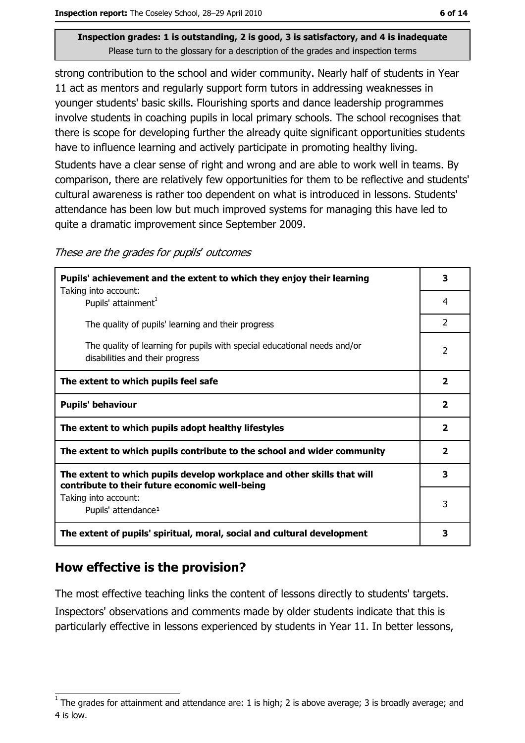strong contribution to the school and wider community. Nearly half of students in Year 11 act as mentors and regularly support form tutors in addressing weaknesses in younger students' basic skills. Flourishing sports and dance leadership programmes involve students in coaching pupils in local primary schools. The school recognises that there is scope for developing further the already quite significant opportunities students have to influence learning and actively participate in promoting healthy living.

Students have a clear sense of right and wrong and are able to work well in teams. By comparison, there are relatively few opportunities for them to be reflective and students' cultural awareness is rather too dependent on what is introduced in lessons. Students' attendance has been low but much improved systems for managing this have led to quite a dramatic improvement since September 2009.

These are the grades for pupils' outcomes

| Pupils' achievement and the extent to which they enjoy their learning                                                     |                |
|---------------------------------------------------------------------------------------------------------------------------|----------------|
| Taking into account:<br>Pupils' attainment <sup>1</sup>                                                                   | 4              |
| The quality of pupils' learning and their progress                                                                        | $\mathcal{P}$  |
| The quality of learning for pupils with special educational needs and/or<br>disabilities and their progress               | $\overline{2}$ |
| The extent to which pupils feel safe                                                                                      | $\overline{2}$ |
| <b>Pupils' behaviour</b>                                                                                                  |                |
| The extent to which pupils adopt healthy lifestyles                                                                       |                |
| The extent to which pupils contribute to the school and wider community                                                   |                |
| The extent to which pupils develop workplace and other skills that will<br>contribute to their future economic well-being |                |
| Taking into account:<br>Pupils' attendance <sup>1</sup>                                                                   | 3              |
| The extent of pupils' spiritual, moral, social and cultural development                                                   |                |

### How effective is the provision?

The most effective teaching links the content of lessons directly to students' targets. Inspectors' observations and comments made by older students indicate that this is particularly effective in lessons experienced by students in Year 11. In better lessons,

The grades for attainment and attendance are: 1 is high; 2 is above average; 3 is broadly average; and 4 is low.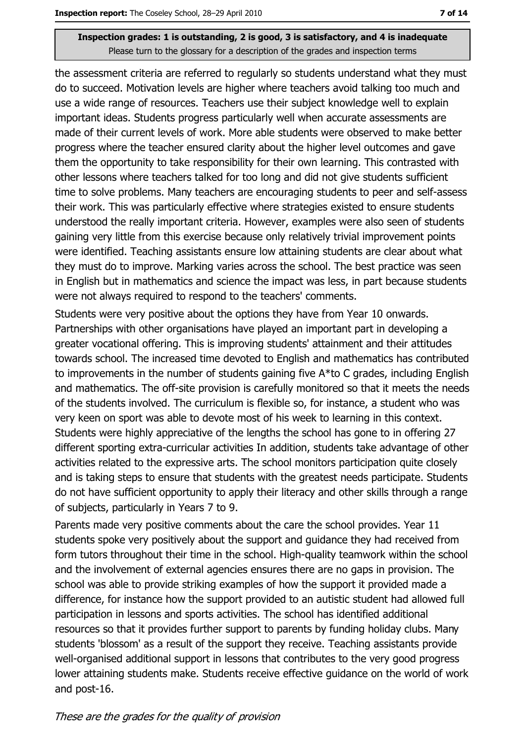the assessment criteria are referred to regularly so students understand what they must do to succeed. Motivation levels are higher where teachers avoid talking too much and use a wide range of resources. Teachers use their subject knowledge well to explain important ideas. Students progress particularly well when accurate assessments are made of their current levels of work. More able students were observed to make better progress where the teacher ensured clarity about the higher level outcomes and gave them the opportunity to take responsibility for their own learning. This contrasted with other lessons where teachers talked for too long and did not give students sufficient time to solve problems. Many teachers are encouraging students to peer and self-assess their work. This was particularly effective where strategies existed to ensure students understood the really important criteria. However, examples were also seen of students gaining very little from this exercise because only relatively trivial improvement points were identified. Teaching assistants ensure low attaining students are clear about what they must do to improve. Marking varies across the school. The best practice was seen in English but in mathematics and science the impact was less, in part because students were not always required to respond to the teachers' comments.

Students were very positive about the options they have from Year 10 onwards. Partnerships with other organisations have played an important part in developing a greater vocational offering. This is improving students' attainment and their attitudes towards school. The increased time devoted to English and mathematics has contributed to improvements in the number of students gaining five A\*to C grades, including English and mathematics. The off-site provision is carefully monitored so that it meets the needs of the students involved. The curriculum is flexible so, for instance, a student who was very keen on sport was able to devote most of his week to learning in this context. Students were highly appreciative of the lengths the school has gone to in offering 27 different sporting extra-curricular activities In addition, students take advantage of other activities related to the expressive arts. The school monitors participation quite closely and is taking steps to ensure that students with the greatest needs participate. Students do not have sufficient opportunity to apply their literacy and other skills through a range of subjects, particularly in Years 7 to 9.

Parents made very positive comments about the care the school provides. Year 11 students spoke very positively about the support and quidance they had received from form tutors throughout their time in the school. High-quality teamwork within the school and the involvement of external agencies ensures there are no gaps in provision. The school was able to provide striking examples of how the support it provided made a difference, for instance how the support provided to an autistic student had allowed full participation in lessons and sports activities. The school has identified additional resources so that it provides further support to parents by funding holiday clubs. Many students 'blossom' as a result of the support they receive. Teaching assistants provide well-organised additional support in lessons that contributes to the very good progress lower attaining students make. Students receive effective guidance on the world of work and post-16.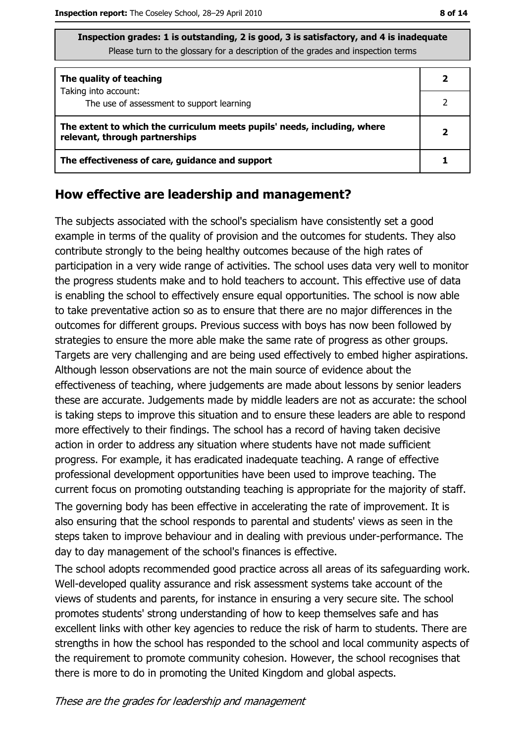| Inspection grades: 1 is outstanding, 2 is good, 3 is satisfactory, and 4 is inadequate |
|----------------------------------------------------------------------------------------|
| Please turn to the glossary for a description of the grades and inspection terms       |

| The quality of teaching                                                                                    |  |
|------------------------------------------------------------------------------------------------------------|--|
| Taking into account:<br>The use of assessment to support learning                                          |  |
| The extent to which the curriculum meets pupils' needs, including, where<br>relevant, through partnerships |  |
| The effectiveness of care, guidance and support                                                            |  |

#### How effective are leadership and management?

The subjects associated with the school's specialism have consistently set a good example in terms of the quality of provision and the outcomes for students. They also contribute strongly to the being healthy outcomes because of the high rates of participation in a very wide range of activities. The school uses data very well to monitor the progress students make and to hold teachers to account. This effective use of data is enabling the school to effectively ensure equal opportunities. The school is now able to take preventative action so as to ensure that there are no major differences in the outcomes for different groups. Previous success with boys has now been followed by strategies to ensure the more able make the same rate of progress as other groups. Targets are very challenging and are being used effectively to embed higher aspirations. Although lesson observations are not the main source of evidence about the effectiveness of teaching, where judgements are made about lessons by senior leaders these are accurate. Judgements made by middle leaders are not as accurate: the school is taking steps to improve this situation and to ensure these leaders are able to respond more effectively to their findings. The school has a record of having taken decisive action in order to address any situation where students have not made sufficient progress. For example, it has eradicated inadequate teaching. A range of effective professional development opportunities have been used to improve teaching. The current focus on promoting outstanding teaching is appropriate for the majority of staff.

The governing body has been effective in accelerating the rate of improvement. It is also ensuring that the school responds to parental and students' views as seen in the steps taken to improve behaviour and in dealing with previous under-performance. The day to day management of the school's finances is effective.

The school adopts recommended good practice across all areas of its safeguarding work. Well-developed quality assurance and risk assessment systems take account of the views of students and parents, for instance in ensuring a very secure site. The school promotes students' strong understanding of how to keep themselves safe and has excellent links with other key agencies to reduce the risk of harm to students. There are strengths in how the school has responded to the school and local community aspects of the requirement to promote community cohesion. However, the school recognises that there is more to do in promoting the United Kingdom and global aspects.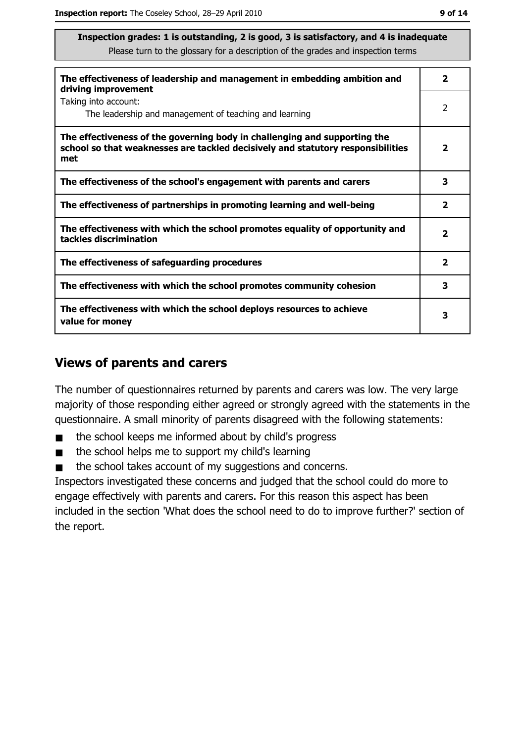| The effectiveness of leadership and management in embedding ambition and<br>driving improvement                                                                     | $\overline{\mathbf{2}}$ |
|---------------------------------------------------------------------------------------------------------------------------------------------------------------------|-------------------------|
| Taking into account:<br>The leadership and management of teaching and learning                                                                                      | 2                       |
| The effectiveness of the governing body in challenging and supporting the<br>school so that weaknesses are tackled decisively and statutory responsibilities<br>met | $\overline{\mathbf{2}}$ |
| The effectiveness of the school's engagement with parents and carers                                                                                                | 3                       |
| The effectiveness of partnerships in promoting learning and well-being                                                                                              | $\mathbf{2}$            |
| The effectiveness with which the school promotes equality of opportunity and<br>tackles discrimination                                                              | $\overline{\mathbf{2}}$ |
| The effectiveness of safeguarding procedures                                                                                                                        | $\mathbf{2}$            |
| The effectiveness with which the school promotes community cohesion                                                                                                 | 3                       |
| The effectiveness with which the school deploys resources to achieve<br>value for money                                                                             | 3                       |

#### **Views of parents and carers**

The number of questionnaires returned by parents and carers was low. The very large majority of those responding either agreed or strongly agreed with the statements in the questionnaire. A small minority of parents disagreed with the following statements:

- the school keeps me informed about by child's progress  $\blacksquare$
- the school helps me to support my child's learning  $\blacksquare$
- the school takes account of my suggestions and concerns.  $\blacksquare$

Inspectors investigated these concerns and judged that the school could do more to engage effectively with parents and carers. For this reason this aspect has been included in the section 'What does the school need to do to improve further?' section of the report.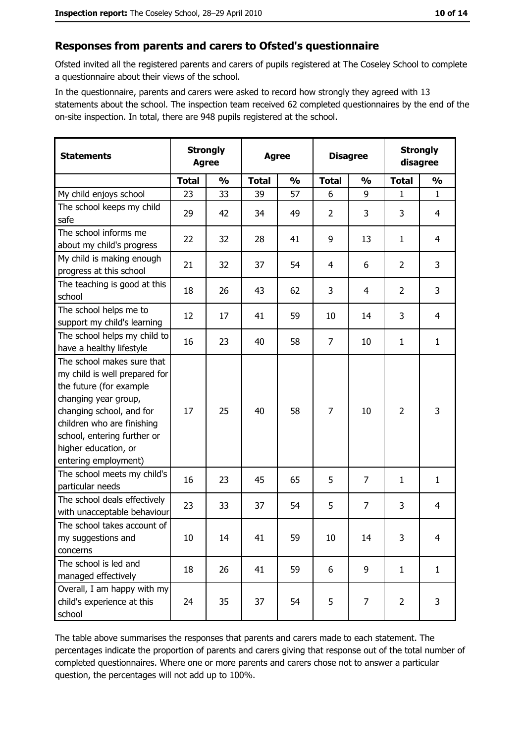#### Responses from parents and carers to Ofsted's questionnaire

Ofsted invited all the registered parents and carers of pupils registered at The Coseley School to complete a questionnaire about their views of the school.

In the questionnaire, parents and carers were asked to record how strongly they agreed with 13 statements about the school. The inspection team received 62 completed questionnaires by the end of the on-site inspection. In total, there are 948 pupils registered at the school.

| <b>Statements</b>                                                                                                                                                                                                                                       | <b>Strongly</b><br><b>Agree</b> |               | <b>Agree</b> |               |                | <b>Disagree</b> |                | <b>Strongly</b><br>disagree |  |
|---------------------------------------------------------------------------------------------------------------------------------------------------------------------------------------------------------------------------------------------------------|---------------------------------|---------------|--------------|---------------|----------------|-----------------|----------------|-----------------------------|--|
|                                                                                                                                                                                                                                                         | <b>Total</b>                    | $\frac{0}{0}$ | <b>Total</b> | $\frac{0}{0}$ | <b>Total</b>   | $\frac{0}{0}$   | <b>Total</b>   | $\frac{0}{0}$               |  |
| My child enjoys school                                                                                                                                                                                                                                  | 23                              | 33            | 39           | 57            | 6              | 9               | $\mathbf{1}$   | $\mathbf{1}$                |  |
| The school keeps my child<br>safe                                                                                                                                                                                                                       | 29                              | 42            | 34           | 49            | $\overline{2}$ | 3               | 3              | $\overline{4}$              |  |
| The school informs me<br>about my child's progress                                                                                                                                                                                                      | 22                              | 32            | 28           | 41            | 9              | 13              | 1              | 4                           |  |
| My child is making enough<br>progress at this school                                                                                                                                                                                                    | 21                              | 32            | 37           | 54            | 4              | 6               | $\overline{2}$ | 3                           |  |
| The teaching is good at this<br>school                                                                                                                                                                                                                  | 18                              | 26            | 43           | 62            | 3              | 4               | $\overline{2}$ | 3                           |  |
| The school helps me to<br>support my child's learning                                                                                                                                                                                                   | 12                              | 17            | 41           | 59            | 10             | 14              | 3              | $\overline{4}$              |  |
| The school helps my child to<br>have a healthy lifestyle                                                                                                                                                                                                | 16                              | 23            | 40           | 58            | $\overline{7}$ | 10              | 1              | $\mathbf{1}$                |  |
| The school makes sure that<br>my child is well prepared for<br>the future (for example<br>changing year group,<br>changing school, and for<br>children who are finishing<br>school, entering further or<br>higher education, or<br>entering employment) | 17                              | 25            | 40           | 58            | $\overline{7}$ | 10              | $\overline{2}$ | 3                           |  |
| The school meets my child's<br>particular needs                                                                                                                                                                                                         | 16                              | 23            | 45           | 65            | 5              | 7               | 1              | $\mathbf{1}$                |  |
| The school deals effectively<br>with unacceptable behaviour                                                                                                                                                                                             | 23                              | 33            | 37           | 54            | 5              | $\overline{7}$  | 3              | $\overline{4}$              |  |
| The school takes account of<br>my suggestions and<br>concerns                                                                                                                                                                                           | 10                              | 14            | 41           | 59            | 10             | 14              | 3              | $\overline{4}$              |  |
| The school is led and<br>managed effectively                                                                                                                                                                                                            | 18                              | 26            | 41           | 59            | 6              | 9               | $\mathbf{1}$   | $\mathbf{1}$                |  |
| Overall, I am happy with my<br>child's experience at this<br>school                                                                                                                                                                                     | 24                              | 35            | 37           | 54            | 5              | 7               | $\overline{2}$ | 3                           |  |

The table above summarises the responses that parents and carers made to each statement. The percentages indicate the proportion of parents and carers giving that response out of the total number of completed questionnaires. Where one or more parents and carers chose not to answer a particular question, the percentages will not add up to 100%.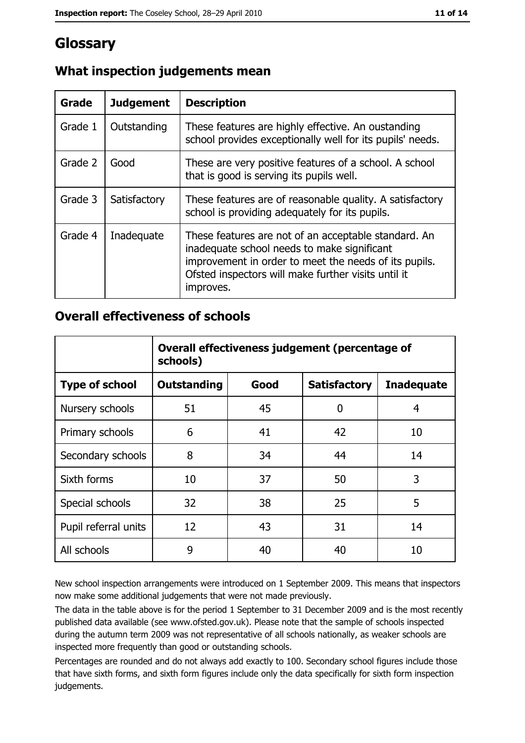## Glossary

| Grade   | <b>Judgement</b> | <b>Description</b>                                                                                                                                                                                                               |
|---------|------------------|----------------------------------------------------------------------------------------------------------------------------------------------------------------------------------------------------------------------------------|
| Grade 1 | Outstanding      | These features are highly effective. An oustanding<br>school provides exceptionally well for its pupils' needs.                                                                                                                  |
| Grade 2 | Good             | These are very positive features of a school. A school<br>that is good is serving its pupils well.                                                                                                                               |
| Grade 3 | Satisfactory     | These features are of reasonable quality. A satisfactory<br>school is providing adequately for its pupils.                                                                                                                       |
| Grade 4 | Inadequate       | These features are not of an acceptable standard. An<br>inadequate school needs to make significant<br>improvement in order to meet the needs of its pupils.<br>Ofsted inspectors will make further visits until it<br>improves. |

## What inspection judgements mean

#### **Overall effectiveness of schools**

|                       | Overall effectiveness judgement (percentage of<br>schools) |      |                     |                   |
|-----------------------|------------------------------------------------------------|------|---------------------|-------------------|
| <b>Type of school</b> | <b>Outstanding</b>                                         | Good | <b>Satisfactory</b> | <b>Inadequate</b> |
| Nursery schools       | 51                                                         | 45   | 0                   | 4                 |
| Primary schools       | 6                                                          | 41   | 42                  | 10                |
| Secondary schools     | 8                                                          | 34   | 44                  | 14                |
| Sixth forms           | 10                                                         | 37   | 50                  | 3                 |
| Special schools       | 32                                                         | 38   | 25                  | 5                 |
| Pupil referral units  | 12                                                         | 43   | 31                  | 14                |
| All schools           | 9                                                          | 40   | 40                  | 10                |

New school inspection arrangements were introduced on 1 September 2009. This means that inspectors now make some additional judgements that were not made previously.

The data in the table above is for the period 1 September to 31 December 2009 and is the most recently published data available (see www.ofsted.gov.uk). Please note that the sample of schools inspected during the autumn term 2009 was not representative of all schools nationally, as weaker schools are inspected more frequently than good or outstanding schools.

Percentages are rounded and do not always add exactly to 100. Secondary school figures include those that have sixth forms, and sixth form figures include only the data specifically for sixth form inspection judgements.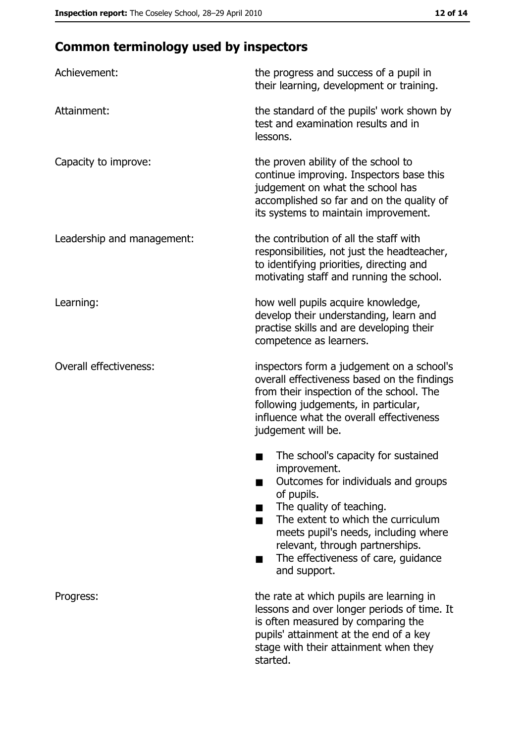# **Common terminology used by inspectors**

| Achievement:                  | the progress and success of a pupil in<br>their learning, development or training.                                                                                                                                                                                                                           |
|-------------------------------|--------------------------------------------------------------------------------------------------------------------------------------------------------------------------------------------------------------------------------------------------------------------------------------------------------------|
| Attainment:                   | the standard of the pupils' work shown by<br>test and examination results and in<br>lessons.                                                                                                                                                                                                                 |
| Capacity to improve:          | the proven ability of the school to<br>continue improving. Inspectors base this<br>judgement on what the school has<br>accomplished so far and on the quality of<br>its systems to maintain improvement.                                                                                                     |
| Leadership and management:    | the contribution of all the staff with<br>responsibilities, not just the headteacher,<br>to identifying priorities, directing and<br>motivating staff and running the school.                                                                                                                                |
| Learning:                     | how well pupils acquire knowledge,<br>develop their understanding, learn and<br>practise skills and are developing their<br>competence as learners.                                                                                                                                                          |
| <b>Overall effectiveness:</b> | inspectors form a judgement on a school's<br>overall effectiveness based on the findings<br>from their inspection of the school. The<br>following judgements, in particular,<br>influence what the overall effectiveness<br>judgement will be.                                                               |
|                               | The school's capacity for sustained<br>improvement.<br>Outcomes for individuals and groups<br>of pupils.<br>The quality of teaching.<br>The extent to which the curriculum<br>meets pupil's needs, including where<br>relevant, through partnerships.<br>The effectiveness of care, guidance<br>and support. |
| Progress:                     | the rate at which pupils are learning in<br>lessons and over longer periods of time. It<br>is often measured by comparing the<br>pupils' attainment at the end of a key<br>stage with their attainment when they<br>started.                                                                                 |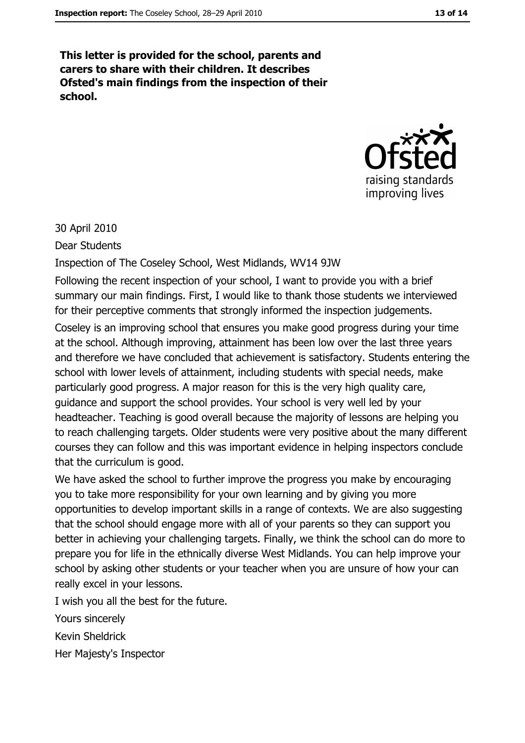This letter is provided for the school, parents and carers to share with their children. It describes Ofsted's main findings from the inspection of their school.



30 April 2010

**Dear Students** 

Inspection of The Coseley School, West Midlands, WV14 9JW

Following the recent inspection of your school, I want to provide you with a brief summary our main findings. First, I would like to thank those students we interviewed for their perceptive comments that strongly informed the inspection judgements.

Coseley is an improving school that ensures you make good progress during your time at the school. Although improving, attainment has been low over the last three years and therefore we have concluded that achievement is satisfactory. Students entering the school with lower levels of attainment, including students with special needs, make particularly good progress. A major reason for this is the very high quality care, quidance and support the school provides. Your school is very well led by your headteacher. Teaching is good overall because the majority of lessons are helping you to reach challenging targets. Older students were very positive about the many different courses they can follow and this was important evidence in helping inspectors conclude that the curriculum is good.

We have asked the school to further improve the progress you make by encouraging you to take more responsibility for your own learning and by giving you more opportunities to develop important skills in a range of contexts. We are also suggesting that the school should engage more with all of your parents so they can support you better in achieving your challenging targets. Finally, we think the school can do more to prepare you for life in the ethnically diverse West Midlands. You can help improve your school by asking other students or your teacher when you are unsure of how your can really excel in your lessons.

I wish you all the best for the future.

Yours sincerely

**Kevin Sheldrick** 

Her Majesty's Inspector